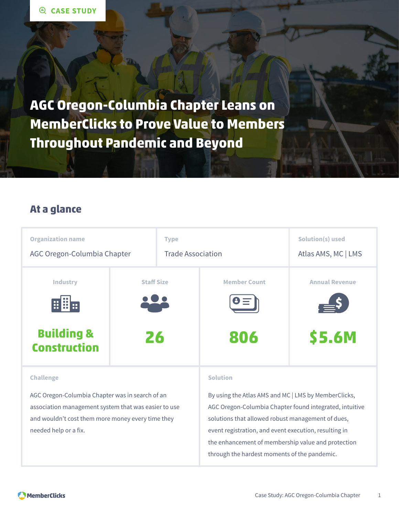**AGC Oregon-Columbia Chapter Leans on MemberClicks to Prove Value to Members Throughout Pandemic and Beyond**

### **At a glance**



AGC Oregon-Columbia Chapter was in search of an association management system that was easier to use and wouldn't cost them more money every time they needed help or a fix.

By using the Atlas AMS and MC | LMS by MemberClicks, AGC Oregon-Columbia Chapter found integrated, intuitive solutions that allowed robust management of dues, event registration, and event execution, resulting in the enhancement of membership value and protection through the hardest moments of the pandemic.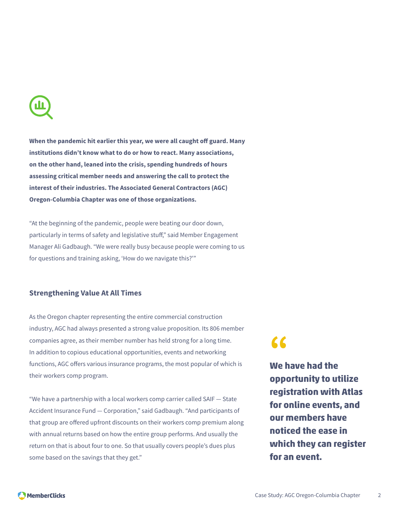**When the pandemic hit earlier this year, we were all caught off guard. Many institutions didn't know what to do or how to react. Many associations, on the other hand, leaned into the crisis, spending hundreds of hours assessing critical member needs and answering the call to protect the interest of their industries. The Associated General Contractors (AGC) Oregon-Columbia Chapter was one of those organizations.**

"At the beginning of the pandemic, people were beating our door down, particularly in terms of safety and legislative stuff," said Member Engagement Manager Ali Gadbaugh. "We were really busy because people were coming to us for questions and training asking, 'How do we navigate this?'"

#### **Strengthening Value At All Times**

As the Oregon chapter representing the entire commercial construction industry, AGC had always presented a strong value proposition. Its 806 member companies agree, as their member number has held strong for a long time. In addition to copious educational opportunities, events and networking functions, AGC offers various insurance programs, the most popular of which is their workers comp program.

"We have a partnership with a local workers comp carrier called SAIF — State Accident Insurance Fund — Corporation," said Gadbaugh. "And participants of that group are offered upfront discounts on their workers comp premium along with annual returns based on how the entire group performs. And usually the return on that is about four to one. So that usually covers people's dues plus some based on the savings that they get."

# **"**

**We have had the opportunity to utilize registration with Atlas for online events, and our members have noticed the ease in which they can register for an event.**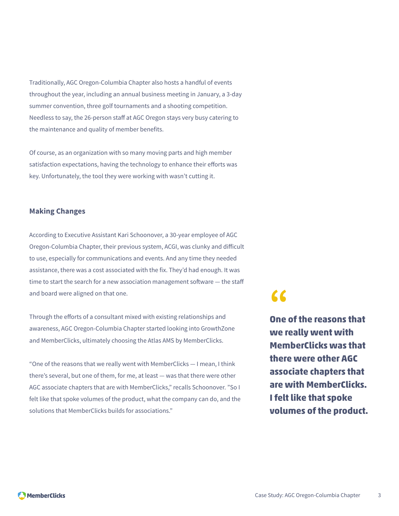Traditionally, AGC Oregon-Columbia Chapter also hosts a handful of events throughout the year, including an annual business meeting in January, a 3-day summer convention, three golf tournaments and a shooting competition. Needless to say, the 26-person staff at AGC Oregon stays very busy catering to the maintenance and quality of member benefits.

Of course, as an organization with so many moving parts and high member satisfaction expectations, having the technology to enhance their efforts was key. Unfortunately, the tool they were working with wasn't cutting it.

#### **Making Changes**

According to Executive Assistant Kari Schoonover, a 30-year employee of AGC Oregon-Columbia Chapter, their previous system, ACGI, was clunky and difficult to use, especially for communications and events. And any time they needed assistance, there was a cost associated with the fix. They'd had enough. It was time to start the search for a new association management software — the staff and board were aligned on that one.

Through the efforts of a consultant mixed with existing relationships and awareness, AGC Oregon-Columbia Chapter started looking into GrowthZone and MemberClicks, ultimately choosing the Atlas AMS by MemberClicks.

"One of the reasons that we really went with MemberClicks — I mean, I think there's several, but one of them, for me, at least — was that there were other AGC associate chapters that are with MemberClicks," recalls Schoonover. "So I felt like that spoke volumes of the product, what the company can do, and the solutions that MemberClicks builds for associations."

### **"**

**One of the reasons that we really went with MemberClicks was that there were other AGC associate chapters that are with MemberClicks. I felt like that spoke volumes of the product.**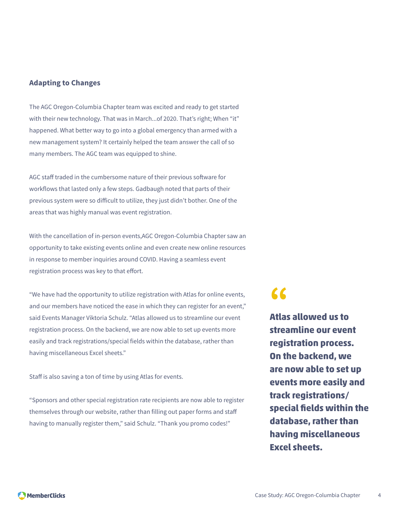#### **Adapting to Changes**

The AGC Oregon-Columbia Chapter team was excited and ready to get started with their new technology. That was in March...of 2020. That's right; When "it" happened. What better way to go into a global emergency than armed with a new management system? It certainly helped the team answer the call of so many members. The AGC team was equipped to shine.

AGC staff traded in the cumbersome nature of their previous software for workflows that lasted only a few steps. Gadbaugh noted that parts of their previous system were so difficult to utilize, they just didn't bother. One of the areas that was highly manual was event registration.

With the cancellation of in-person events,AGC Oregon-Columbia Chapter saw an opportunity to take existing events online and even create new online resources in response to member inquiries around COVID. Having a seamless event registration process was key to that effort.

"We have had the opportunity to utilize registration with Atlas for online events, and our members have noticed the ease in which they can register for an event," said Events Manager Viktoria Schulz. "Atlas allowed us to streamline our event registration process. On the backend, we are now able to set up events more easily and track registrations/special fields within the database, rather than having miscellaneous Excel sheets."

Staff is also saving a ton of time by using Atlas for events.

"Sponsors and other special registration rate recipients are now able to register themselves through our website, rather than filling out paper forms and staff having to manually register them," said Schulz. "Thank you promo codes!"

## **"**

**Atlas allowed us to streamline our event registration process. On the backend, we are now able to set up events more easily and track registrations/ special fields within the database, rather than having miscellaneous Excel sheets.**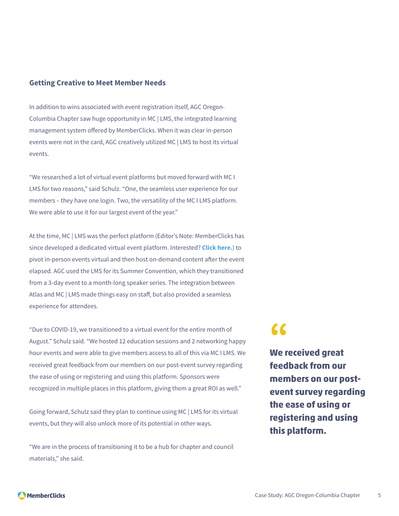#### **Getting Creative to Meet Member Needs**

In addition to wins associated with event registration itself, AGC Oregon-Columbia Chapter saw huge opportunity in MC | LMS, the integrated learning management system offered by MemberClicks. When it was clear in-person events were not in the card, AGC creatively utilized MC | LMS to host its virtual events.

"We researched a lot of virtual event platforms but moved forward with MC I LMS for two reasons," said Schulz. "One, the seamless user experience for our members – they have one login. Two, the versatility of the MC I LMS platform. We were able to use it for our largest event of the year."

At the time, MC | LMS was the perfect platform (Editor's Note: MemberClicks has since developed a dedicated virtual event platform. Interested? **[Click here.](https://www.memberclicks.com/virtual-event-software)**) to pivot in-person events virtual and then host on-demand content after the event elapsed. AGC used the LMS for its Summer Convention, which they transitioned from a 3-day event to a month-long speaker series. The integration between Atlas and MC | LMS made things easy on staff, but also provided a seamless experience for attendees.

"Due to COVID-19, we transitioned to a virtual event for the entire month of August." Schulz said. "We hosted 12 education sessions and 2 networking happy hour events and were able to give members access to all of this via MC I LMS. We received great feedback from our members on our post-event survey regarding the ease of using or registering and using this platform. Sponsors were recognized in multiple places in this platform, giving them a great ROI as well."

Going forward, Schulz said they plan to continue using MC | LMS for its virtual events, but they will also unlock more of its potential in other ways.

"We are in the process of transitioning it to be a hub for chapter and council materials," she said.

# **"**

**We received great feedback from our members on our postevent survey regarding the ease of using or registering and using this platform.**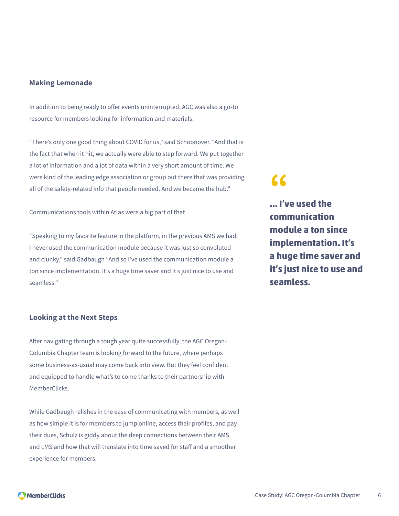#### **Making Lemonade**

In addition to being ready to offer events uninterrupted, AGC was also a go-to resource for members looking for information and materials.

"There's only one good thing about COVID for us," said Schoonover. "And that is the fact that when it hit, we actually were able to step forward. We put together a lot of information and a lot of data within a very short amount of time. We were kind of the leading edge association or group out there that was providing all of the safety-related info that people needed. And we became the hub."

Communications tools within Atlas were a big part of that.

"Speaking to my favorite feature in the platform, in the previous AMS we had, I never used the communication module because it was just so convoluted and clunky," said Gadbaugh "And so I've used the communication module a ton since implementation. It's a huge time saver and it's just nice to use and seamless."

#### **Looking at the Next Steps**

After navigating through a tough year quite successfully, the AGC Oregon-Columbia Chapter team is looking forward to the future, where perhaps some business-as-usual may come back into view. But they feel confident and equipped to handle what's to come thanks to their partnership with MemberClicks.

While Gadbaugh relishes in the ease of communicating with members, as well as how simple it is for members to jump online, access their profiles, and pay their dues, Schulz is giddy about the deep connections between their AMS and LMS and how that will translate into time saved for staff and a smoother experience for members.

### **"**

**... I've used the communication module a ton since implementation. It's a huge time saver and it's just nice to use and seamless.**